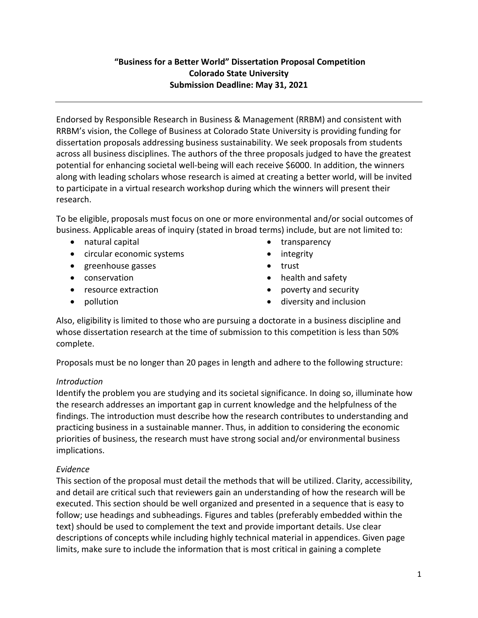## **"Business for a Better World" Dissertation Proposal Competition Colorado State University Submission Deadline: May 31, 2021**

Endorsed by Responsible Research in Business & Management (RRBM) and consistent with RRBM's vision, the College of Business at Colorado State University is providing funding for dissertation proposals addressing business sustainability. We seek proposals from students across all business disciplines. The authors of the three proposals judged to have the greatest potential for enhancing societal well-being will each receive \$6000. In addition, the winners along with leading scholars whose research is aimed at creating a better world, will be invited to participate in a virtual research workshop during which the winners will present their research.

To be eligible, proposals must focus on one or more environmental and/or social outcomes of business. Applicable areas of inquiry (stated in broad terms) include, but are not limited to:

- natural capital
- circular economic systems
- greenhouse gasses
- conservation
- resource extraction
- pollution
- transparency
- integrity
- trust
- health and safety
- poverty and security
- diversity and inclusion

Also, eligibility is limited to those who are pursuing a doctorate in a business discipline and whose dissertation research at the time of submission to this competition is less than 50% complete.

Proposals must be no longer than 20 pages in length and adhere to the following structure:

## *Introduction*

Identify the problem you are studying and its societal significance. In doing so, illuminate how the research addresses an important gap in current knowledge and the helpfulness of the findings. The introduction must describe how the research contributes to understanding and practicing business in a sustainable manner. Thus, in addition to considering the economic priorities of business, the research must have strong social and/or environmental business implications.

## *Evidence*

This section of the proposal must detail the methods that will be utilized. Clarity, accessibility, and detail are critical such that reviewers gain an understanding of how the research will be executed. This section should be well organized and presented in a sequence that is easy to follow; use headings and subheadings. Figures and tables (preferably embedded within the text) should be used to complement the text and provide important details. Use clear descriptions of concepts while including highly technical material in appendices. Given page limits, make sure to include the information that is most critical in gaining a complete